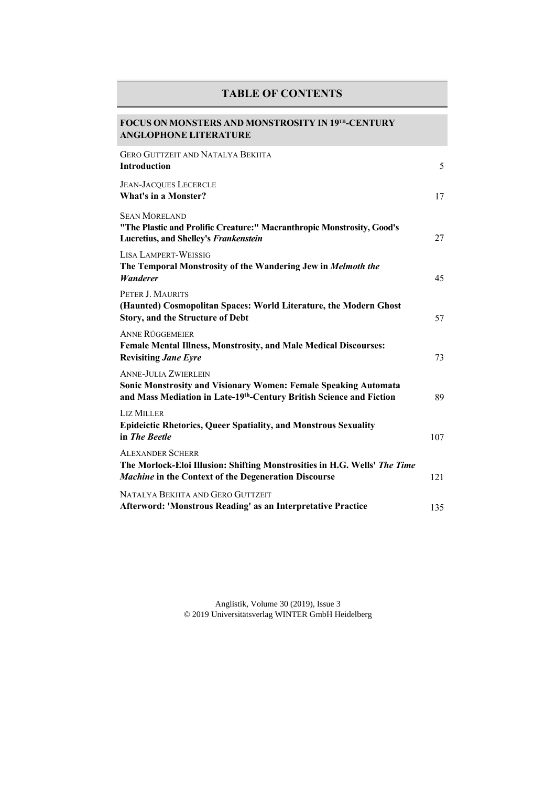## **TABLE OF CONTENTS**

| FOCUS ON MONSTERS AND MONSTROSITY IN 19TH-CENTURY<br><b>ANGLOPHONE LITERATURE</b>                                                                                     |     |
|-----------------------------------------------------------------------------------------------------------------------------------------------------------------------|-----|
| <b>GERO GUTTZEIT AND NATALYA BEKHTA</b><br><b>Introduction</b>                                                                                                        | 5   |
| <b>JEAN-JACQUES LECERCLE</b><br><b>What's in a Monster?</b>                                                                                                           | 17  |
| <b>SEAN MORELAND</b><br>"The Plastic and Prolific Creature:" Macranthropic Monstrosity, Good's<br>Lucretius, and Shelley's Frankenstein                               | 27  |
| <b>LISA LAMPERT-WEISSIG</b><br>The Temporal Monstrosity of the Wandering Jew in Melmoth the<br>Wanderer                                                               | 45  |
| PETER J. MAURITS<br>(Haunted) Cosmopolitan Spaces: World Literature, the Modern Ghost<br><b>Story, and the Structure of Debt</b>                                      | 57  |
| <b>ANNE RÜGGEMEIER</b><br><b>Female Mental Illness, Monstrosity, and Male Medical Discourses:</b><br><b>Revisiting Jane Eyre</b>                                      | 73  |
| <b>ANNE-JULIA ZWIERLEIN</b><br>Sonic Monstrosity and Visionary Women: Female Speaking Automata<br>and Mass Mediation in Late-19th-Century British Science and Fiction | 89  |
| LIZ MILLER<br><b>Epideictic Rhetorics, Queer Spatiality, and Monstrous Sexuality</b><br>in The Beetle                                                                 | 107 |
| <b>ALEXANDER SCHERR</b><br>The Morlock-Eloi Illusion: Shifting Monstrosities in H.G. Wells' The Time<br>Machine in the Context of the Degeneration Discourse          | 121 |
| NATALYA BEKHTA AND GERO GUTTZEIT<br>Afterword: 'Monstrous Reading' as an Interpretative Practice                                                                      | 135 |